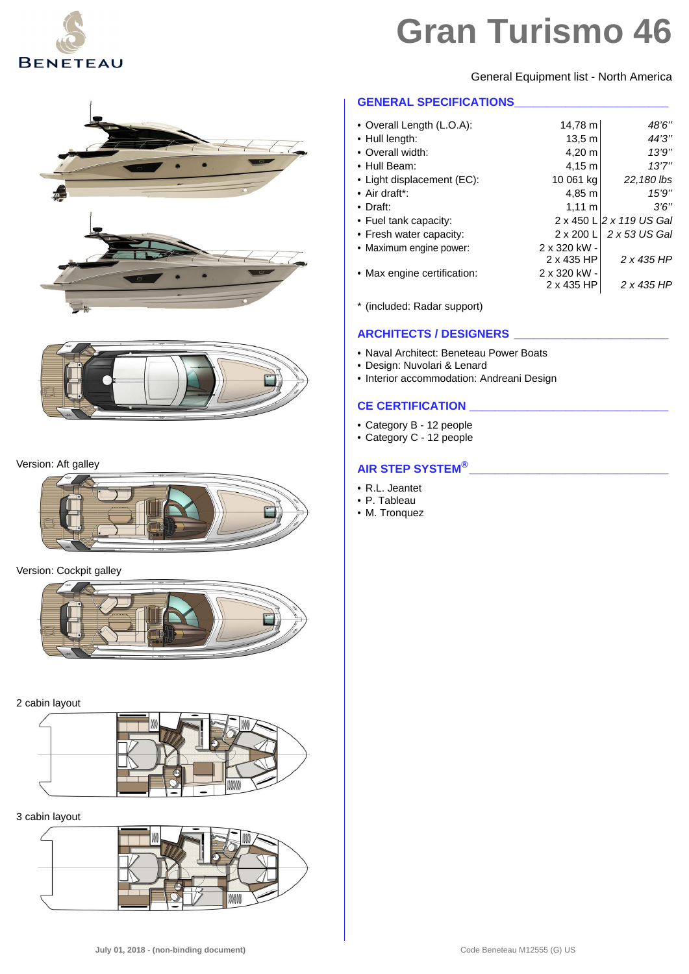

General Equipment list - North America

#### **GENERAL SPECIFICATIONS\_\_\_\_\_\_\_\_\_\_\_\_\_\_\_\_\_\_\_\_\_\_\_\_**

| • Overall Length (L.O.A):   | 14.78 m          | 48'6"                    |
|-----------------------------|------------------|--------------------------|
| • Hull length:              | 13.5 m           | 44'3"                    |
| • Overall width:            | 4.20 m           | 13'9''                   |
| • Hull Beam:                | 4,15 m           | 13'7''                   |
| • Light displacement (EC):  | 10 061 kg        | 22,180 lbs               |
| $\bullet$ Air draft*:       | 4.85 m           | 15'9''                   |
| $\bullet$ Draft:            | $1,11 \; m$      | 3'6''                    |
| • Fuel tank capacity:       |                  | 2 x 450 L 2 x 119 US Gal |
| • Fresh water capacity:     | $2 \times 200$ L | 2 x 53 US Gal            |
| • Maximum engine power:     | 2 x 320 kW -     |                          |
|                             | 2 x 435 HP       | 2 x 435 HP               |
| • Max engine certification: | 2 x 320 kW -     |                          |
|                             | 2 x 435 HP       | 2 x 435 HP               |

\* (included: Radar support)

### **ARCHITECTS / DESIGNERS \_\_\_\_\_\_\_\_\_\_\_\_\_\_\_\_\_\_\_\_\_\_\_\_**

- Naval Architect: Beneteau Power Boats
- Design: Nuvolari & Lenard
- Interior accommodation: Andreani Design

#### **CE CERTIFICATION \_\_\_\_\_\_\_\_\_\_\_\_\_\_\_\_\_\_\_\_\_\_\_\_\_\_\_\_\_\_\_**

- Category B 12 people
- Category C 12 people

### **AIR STEP SYSTEM®\_\_\_\_\_\_\_\_\_\_\_\_\_\_\_\_\_\_\_\_\_\_\_\_\_\_\_\_\_\_\_**

- R.L. Jeantet
- P. Tableau
- M. Tronquez



#### Version: Aft galley



#### Version: Cockpit galley



#### 2 cabin layout



#### 3 cabin layout

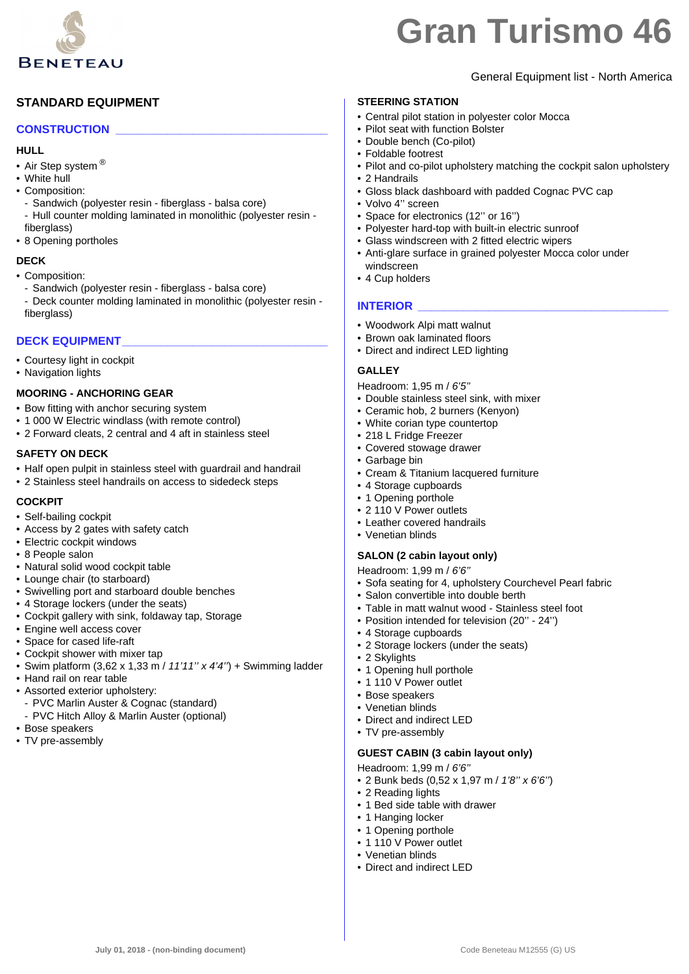

# **STANDARD EQUIPMENT**

#### **CONSTRUCTION \_\_\_\_\_\_\_\_\_\_\_\_\_\_\_\_\_\_\_\_\_\_\_\_\_\_\_\_\_\_\_\_\_**

#### **HULL**

- Air Step system <sup>®</sup>
- White hull
- Composition:
- Sandwich (polyester resin fiberglass balsa core)
- Hull counter molding laminated in monolithic (polyester resin fiberglass)
- 8 Opening portholes

#### **DECK**

- Composition:
- Sandwich (polyester resin fiberglass balsa core)
- Deck counter molding laminated in monolithic (polyester resin fiberglass)

#### **DECK EQUIPMENT\_\_\_\_\_\_\_\_\_\_\_\_\_\_\_\_\_\_\_\_\_\_\_\_\_\_\_\_\_\_\_\_**

- Courtesy light in cockpit
- Navigation lights

#### **MOORING - ANCHORING GEAR**

- Bow fitting with anchor securing system
- 1 000 W Electric windlass (with remote control)
- 2 Forward cleats, 2 central and 4 aft in stainless steel

#### **SAFETY ON DECK**

- Half open pulpit in stainless steel with guardrail and handrail
- 2 Stainless steel handrails on access to sidedeck steps

#### **COCKPIT**

- Self-bailing cockpit
- Access by 2 gates with safety catch
- Electric cockpit windows
- 8 People salon
- Natural solid wood cockpit table
- Lounge chair (to starboard)
- Swivelling port and starboard double benches
- 4 Storage lockers (under the seats)
- Cockpit gallery with sink, foldaway tap, Storage
- Engine well access cover
- Space for cased life-raft
- Cockpit shower with mixer tap
- Swim platform (3,62 x 1,33 m / *11'11'' x 4'4''*) + Swimming ladder
- Hand rail on rear table
- Assorted exterior upholstery:
	- PVC Marlin Auster & Cognac (standard)
	- PVC Hitch Alloy & Marlin Auster (optional)
- Bose speakers
- TV pre-assembly

# General Equipment list - North America

# **STEERING STATION**

- Central pilot station in polyester color Mocca
- Pilot seat with function Bolster
- Double bench (Co-pilot)
- Foldable footrest
- Pilot and co-pilot upholstery matching the cockpit salon upholstery
- 2 Handrails
- Gloss black dashboard with padded Cognac PVC cap
- Volvo 4'' screen
- Space for electronics (12'' or 16'')
- Polyester hard-top with built-in electric sunroof
- Glass windscreen with 2 fitted electric wipers
- Anti-glare surface in grained polyester Mocca color under windscreen
- 4 Cup holders

#### **INTERIOR**

- Woodwork Alpi matt walnut
- Brown oak laminated floors
- Direct and indirect LED lighting

#### **GALLEY**

Headroom: 1,95 m / *6'5''*

- Double stainless steel sink, with mixer
- Ceramic hob, 2 burners (Kenyon)
- White corian type countertop
- 218 L Fridge Freezer
- Covered stowage drawer
- Garbage bin
- Cream & Titanium lacquered furniture
- 4 Storage cupboards
- 1 Opening porthole
- 2 110 V Power outlets
- Leather covered handrails
- Venetian blinds

#### **SALON (2 cabin layout only)**

Headroom: 1,99 m / *6'6''*

- Sofa seating for 4, upholstery Courchevel Pearl fabric
- Salon convertible into double berth
- Table in matt walnut wood Stainless steel foot
- Position intended for television (20'' 24'')
- 4 Storage cupboards
- 2 Storage lockers (under the seats)
- 2 Skylights
- 1 Opening hull porthole
- 1 110 V Power outlet
- Bose speakers
- Venetian blinds
- Direct and indirect LED
- TV pre-assembly

#### **GUEST CABIN (3 cabin layout only)**

- Headroom: 1,99 m / *6'6''*
- 2 Bunk beds (0,52 x 1,97 m / *1'8'' x 6'6''*)
- 2 Reading lights
- 1 Bed side table with drawer
- 1 Hanging locker
- 1 Opening porthole • 1 110 V Power outlet

• Venetian blinds • Direct and indirect LED

**July 01, 2018 - (non-binding document)** Code Beneteau M12555 (G) US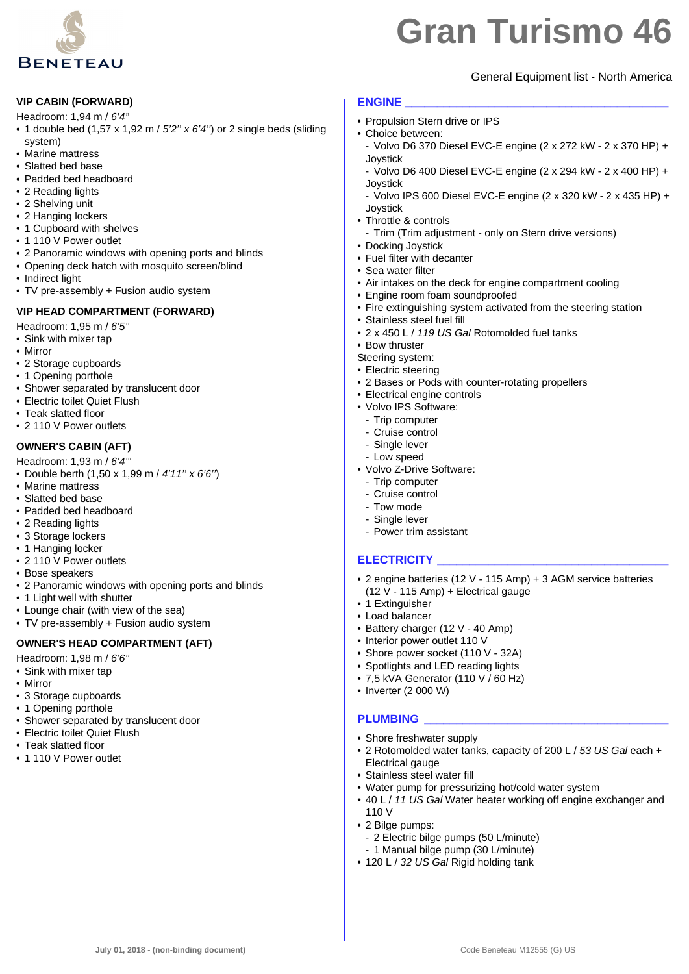

# General Equipment list - North America

#### **VIP CABIN (FORWARD)**

- Headroom: 1,94 m / *6'4''*
- 1 double bed (1,57 x 1,92 m / *5'2'' x 6'4''*) or 2 single beds (sliding system)
- Marine mattress
- Slatted bed base
- Padded bed headboard
- 2 Reading lights
- 2 Shelving unit
- 2 Hanging lockers
- 1 Cupboard with shelves
- 1 110 V Power outlet
- 2 Panoramic windows with opening ports and blinds
- Opening deck hatch with mosquito screen/blind
- Indirect light
- TV pre-assembly + Fusion audio system

#### **VIP HEAD COMPARTMENT (FORWARD)**

Headroom: 1,95 m / *6'5''*

- Sink with mixer tap
- Mirror
- 2 Storage cupboards
- 1 Opening porthole
- Shower separated by translucent door
- Electric toilet Quiet Flush
- Teak slatted floor
- 2 110 V Power outlets

# **OWNER'S CABIN (AFT)**

- Headroom: 1,93 m / *6'4'''*
- Double berth (1,50 x 1,99 m / *4'11'' x 6'6''*)
- Marine mattress
- Slatted bed base
- Padded bed headboard
- 2 Reading lights
- 3 Storage lockers
- 1 Hanging locker
- 2 110 V Power outlets
- Bose speakers
- 2 Panoramic windows with opening ports and blinds
- 1 Light well with shutter
- Lounge chair (with view of the sea)
- TV pre-assembly + Fusion audio system

# **OWNER'S HEAD COMPARTMENT (AFT)**

Headroom: 1,98 m / *6'6''*

- Sink with mixer tap
- Mirror
- 3 Storage cupboards
- 1 Opening porthole
- Shower separated by translucent door
- Electric toilet Quiet Flush
- Teak slatted floor
- 1 110 V Power outlet

# **ENGINE \_\_\_\_\_\_\_\_\_\_\_\_\_\_\_\_\_\_\_\_\_\_\_\_\_\_\_\_\_\_\_\_\_\_\_\_\_\_\_\_\_**

- Propulsion Stern drive or IPS
- Choice between:
- Volvo D6 370 Diesel EVC-E engine (2 x 272 kW 2 x 370 HP) + Joystick
- Volvo D6 400 Diesel EVC-E engine (2 x 294 kW 2 x 400 HP) + Joystick
- Volvo IPS 600 Diesel EVC-E engine (2 x 320 kW 2 x 435 HP) + Joystick
- Throttle & controls
	- Trim (Trim adjustment only on Stern drive versions)
- Docking Joystick
- Fuel filter with decanter
- Sea water filter
- Air intakes on the deck for engine compartment cooling
- Engine room foam soundproofed
- Fire extinguishing system activated from the steering station
- Stainless steel fuel fill
- 2 x 450 L / *119 US Gal* Rotomolded fuel tanks
- Bow thruster
- Steering system:
- Electric steering
- 2 Bases or Pods with counter-rotating propellers
- Electrical engine controls
- Volvo IPS Software:
- Trip computer
- Cruise control
- Single lever
- Low speed
- Volvo Z-Drive Software:
	- Trip computer
	- Cruise control
	- Tow mode
	- Single lever
	- Power trim assistant

# **ELECTRICITY \_\_\_\_\_\_\_\_\_\_\_\_\_\_\_\_\_\_\_\_\_\_\_\_\_\_\_\_\_\_\_\_\_\_\_\_**

- 2 engine batteries (12 V 115 Amp) + 3 AGM service batteries (12 V - 115 Amp) + Electrical gauge
- 1 Extinguisher
- Load balancer
- Battery charger (12 V 40 Amp)
- Interior power outlet 110 V
- Shore power socket (110 V 32A)
- Spotlights and LED reading lights
- 7,5 kVA Generator (110 V / 60 Hz)
- Inverter (2 000 W)

# **PLUMBING \_\_\_\_\_\_\_\_\_\_\_\_\_\_\_\_\_\_\_\_\_\_\_\_\_\_\_\_\_\_\_\_\_\_\_\_\_\_**

110 V • 2 Bilge pumps:

**July 01, 2018 - (non-binding document)** Code Beneteau M12555 (G) US

- Shore freshwater supply
- 2 Rotomolded water tanks, capacity of 200 L / *53 US Gal* each + Electrical gauge

• 40 L / *11 US Gal* Water heater working off engine exchanger and

• Water pump for pressurizing hot/cold water system

- 2 Electric bilge pumps (50 L/minute) - 1 Manual bilge pump (30 L/minute) • 120 L / *32 US Gal* Rigid holding tank

• Stainless steel water fill